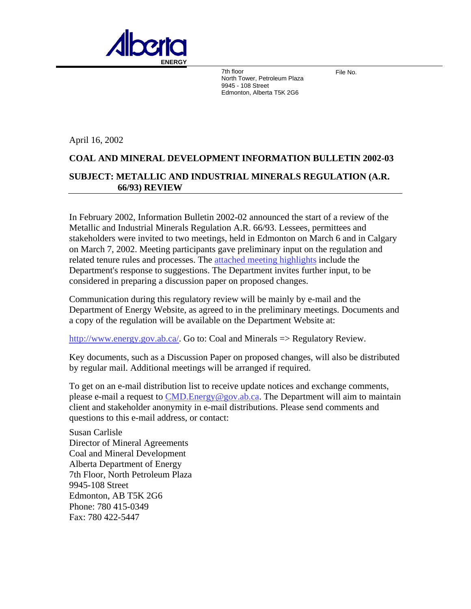

7th floor **Contains the Container Container Container Container Container Container Container Container Contain** North Tower, Petroleum Plaza 9945 - 108 Street Edmonton, Alberta T5K 2G6

April 16, 2002

# **COAL AND MINERAL DEVELOPMENT INFORMATION BULLETIN 2002-03**

# **SUBJECT: METALLIC AND INDUSTRIAL MINERALS REGULATION (A.R. 66/93) REVIEW**

In February 2002, Information Bulletin 2002-02 announced the start of a review of the Metallic and Industrial Minerals Regulation A.R. 66/93. Lessees, permittees and stakeholders were invited to two meetings, held in Edmonton on March 6 and in Calgary on March 7, 2002. Meeting participants gave preliminary input on the regulation and related tenure rules and processes. The attached meeting highlights include the Department's response to suggestions. The Department invites further input, to be considered in preparing a discussion paper on proposed changes.

Communication during this regulatory review will be mainly by e-mail and the Department of Energy Website, as agreed to in the preliminary meetings. Documents and a copy of the regulation will be available on the Department Website at:

http://www.energy.gov.ab.ca/. Go to: Coal and Minerals => Regulatory Review.

Key documents, such as a Discussion Paper on proposed changes, will also be distributed by regular mail. Additional meetings will be arranged if required.

To get on an e-mail distribution list to receive update notices and exchange comments, please e-mail a request to CMD. Energy @gov. ab.ca. The Department will aim to maintain client and stakeholder anonymity in e-mail distributions. Please send comments and questions to this e-mail address, or contact:

Susan Carlisle Director of Mineral Agreements Coal and Mineral Development Alberta Department of Energy 7th Floor, North Petroleum Plaza 9945-108 Street Edmonton, AB T5K 2G6 Phone: 780 415-0349 Fax: 780 422-5447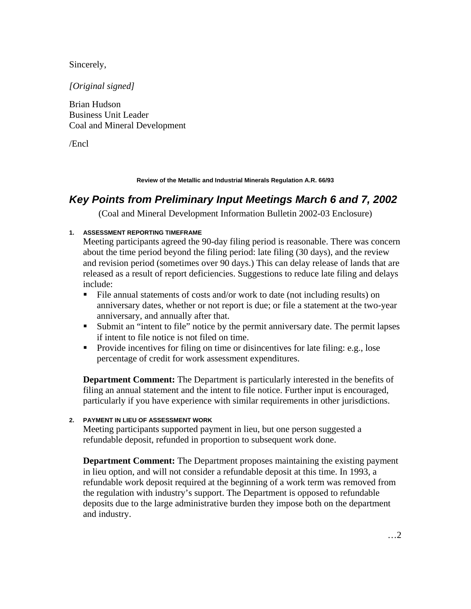Sincerely,

## *[Original signed]*

Brian Hudson Business Unit Leader Coal and Mineral Development

/Encl

## **Review of the Metallic and Industrial Minerals Regulation A.R. 66/93**

# **Key Points from Preliminary Input Meetings March 6 and 7, 2002**

(Coal and Mineral Development Information Bulletin 2002-03 Enclosure)

## **1. ASSESSMENT REPORTING TIMEFRAME**

Meeting participants agreed the 90-day filing period is reasonable. There was concern about the time period beyond the filing period: late filing (30 days), and the review and revision period (sometimes over 90 days.) This can delay release of lands that are released as a result of report deficiencies. Suggestions to reduce late filing and delays include:

- File annual statements of costs and/or work to date (not including results) on anniversary dates, whether or not report is due; or file a statement at the two-year anniversary, and annually after that.
- **Submit an "intent to file" notice by the permit anniversary date. The permit lapses** if intent to file notice is not filed on time.
- Provide incentives for filing on time or disincentives for late filing: e.g., lose percentage of credit for work assessment expenditures.

**Department Comment:** The Department is particularly interested in the benefits of filing an annual statement and the intent to file notice. Further input is encouraged, particularly if you have experience with similar requirements in other jurisdictions.

## **2. PAYMENT IN LIEU OF ASSESSMENT WORK**

Meeting participants supported payment in lieu, but one person suggested a refundable deposit, refunded in proportion to subsequent work done.

**Department Comment:** The Department proposes maintaining the existing payment in lieu option, and will not consider a refundable deposit at this time. In 1993, a refundable work deposit required at the beginning of a work term was removed from the regulation with industry's support. The Department is opposed to refundable deposits due to the large administrative burden they impose both on the department and industry.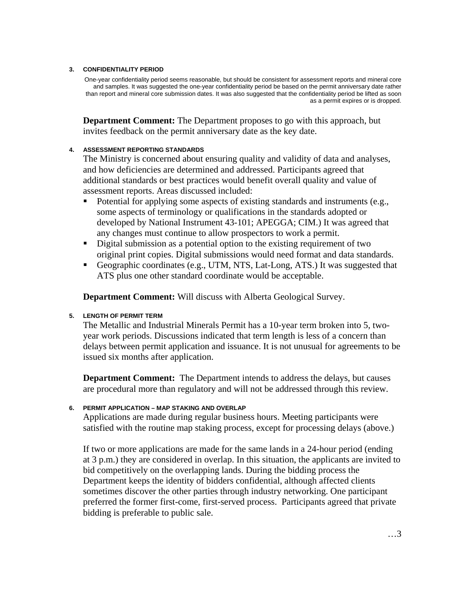#### **3. CONFIDENTI ALITY PERIOD**

One-year confidentiality period seems reasonable, but should be consistent for assessment reports and mineral core and samples. It was suggested the one-year confidentiality period be based on the permit anniversary date rather than report and mineral core submission dates. It was also suggested that the confidentiality period be lifted as soon as a permit expires or is dropped.

**Department Comment:** The Department proposes to go with this approach, but invites feedback on the permit anniversary date as the key date.

#### **4. ASSESSMENT REPORTING STANDARDS**

The Ministry is concerned about ensuring quality and validity of data and analyses, and how deficiencies are determined and addressed. Participants agreed that additional standards or best practices would benefit overall quality and value of assessm ent reports. Areas discussed included:

- $\blacksquare$  Potential for applying some aspects of existing standards and instruments (e.g., some aspects of terminology or qualifications in the standards adopted or developed by National Instrument 43-101; APEGGA; CIM.) It was agreed that any changes must continue to allow prospectors to work a permit.
- Digital submission as a potential option to the existing requirement of two original print copies. Digital submissions would need format and data standards.
- Geographic coordinates (e.g., UTM, NTS, Lat-Long, ATS.) It was suggested that ATS plus one other standard coordinate would be acceptable.

Department Comment: Will discuss with Alberta Geological Survey.

## **LENGTH OF PERMIT TERM 5.**

The Metallic and Industrial Minerals Permit has a 10-year term broken into 5, twoyear work periods. Discussions indicated that term length is less of a concern than delays between permit application and issuance. It is not unusual for agreements to be issued six months after application.

**Department Comment:** The Department intends to address the delays, but causes are procedural more than regulatory and will not be addressed through this review.

## **6. PERMIT APPLICATION – MAP STAKING AND OVERLAP**

Applications are made during regular business hours. Meeting participants were satisfied with the routine map staking process, except for processing delays (above.)

If two or more applications are made for the same lands in a 24-hour period (ending at 3 p.m.) they are considered in overlap. In this situation, the applicants are invited to bid competitively on the overlapping lands. During the bidding process the Department keeps the identity of bidders confidential, although affected clients sometimes discover the other parties through industry networking. One participant preferred the former first-come, first-served process. Participants agreed that private bidding is preferable to public sale.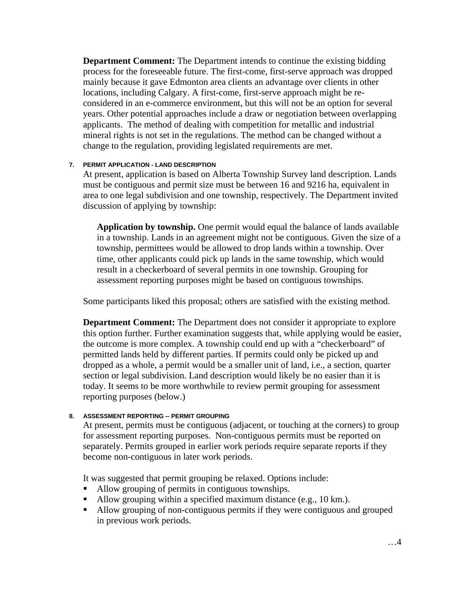**Department Comment:** The Department intends to continue the existing bidding process for the foreseeable future. The first-come, first-serve approach was dropped mainly because it gave Edmonton area clients an advantage over clients in other locations, including Calgary. A first-come, first-serve approach might be reconsidered in an e-commerce environment, but this will not be an option for several years. Other potential approaches include a draw or negotiation between overlapping applicants. The method of dealing with competition for metallic and industrial mineral rights is not set in the regulations. The method can be changed without a change to the regulation, providing legislated requirements are met.

## **7. PERMIT APPLICATION - LAND DESCRIPTION**

At present, application is based on Alberta Township Survey land description. Lands must be contiguous and permit size must be between 16 and 9216 ha, equivalent in area to one legal subdivision and one township, respectively. The Department invited discussion of applying by township:

Application by township. One permit would equal the balance of lands available in a township. Lands in an agreement might not be contiguous. Given the size of a time, other applicants could pick up lands in the same township, which would result in a checkerboard of several permits in one township. Grouping for assessment reporting purposes might be based on contiguous townships. township, permittees would be allowed to drop lands within a township. Over

Some participants liked this proposal; others are satisfied with the existing method.

**Department Comment:** The Department does not consider it appropriate to explore this option further. Further examination suggests that, while applying would be easier, the outcome is more complex. A township could end up with a "checkerboard" of permitted lands held by different parties. If permits could only be picked up and dropped as a whole, a permit would be a smaller unit of land, i.e., a section, quarter section or legal subdivision. Land description would likely be no easier than it is today. It seems to be more worthwhile to review permit grouping for assessment reporting purposes (below.)

## **8. ASSESSMENT REPORTING -- PERMIT GROUPING**

At present, permits must be contiguous (adjacent, or touching at the corners) to group for assessment reporting purposes. Non-contiguous permits must be reported on separately. Permits grouped in earlier work periods require separate reports if they become non-contiguous in later work periods.

It was suggested that permit grouping be relaxed. Options include:

- Allow grouping of permits in contiguous townships.
- Allow grouping within a specified maximum distance (e.g., 10 km.).
- Allow grouping of non-contiguous permits if they were contiguous and grouped in previous work periods.